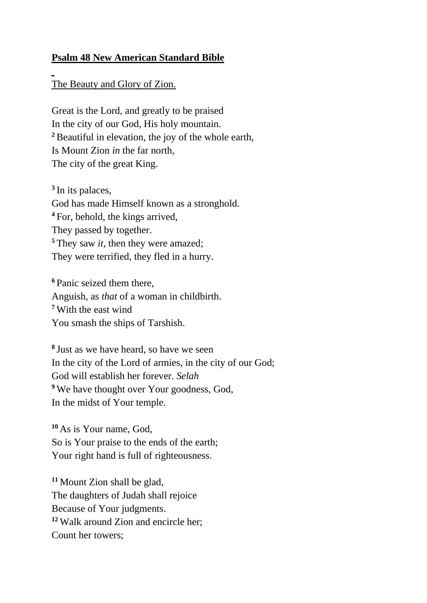## **Psalm 48 New American Standard Bible**

## The Beauty and Glory of Zion.

Great is the Lord, and greatly to be praised In the city of our God, His holy mountain. **<sup>2</sup>**Beautiful in elevation, the joy of the whole earth, Is Mount Zion *in* the far north, The city of the great King.

**3** In its palaces, God has made Himself known as a stronghold. **<sup>4</sup>** For, behold, the kings arrived, They passed by together. **<sup>5</sup>** They saw *it*, then they were amazed; They were terrified, they fled in a hurry.

**<sup>6</sup>** Panic seized them there, Anguish, as *that* of a woman in childbirth. **<sup>7</sup>** With the east wind You smash the ships of Tarshish.

**8** Just as we have heard, so have we seen In the city of the Lord of armies, in the city of our God; God will establish her forever. *Selah* <sup>9</sup> We have thought over Your goodness, God, In the midst of Your temple.

**<sup>10</sup>** As is Your name, God, So is Your praise to the ends of the earth; Your right hand is full of righteousness.

**<sup>11</sup>** Mount Zion shall be glad, The daughters of Judah shall rejoice Because of Your judgments. **<sup>12</sup>** Walk around Zion and encircle her; Count her towers;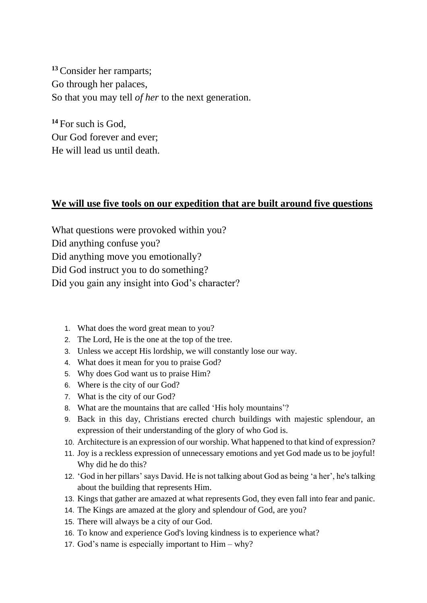**<sup>13</sup>**Consider her ramparts; Go through her palaces, So that you may tell *of her* to the next generation.

**<sup>14</sup>** For such is God, Our God forever and ever; He will lead us until death.

## **We will use five tools on our expedition that are built around five questions**

What questions were provoked within you? Did anything confuse you? Did anything move you emotionally? Did God instruct you to do something? Did you gain any insight into God's character?

- 1. What does the word great mean to you?
- 2. The Lord, He is the one at the top of the tree.
- 3. Unless we accept His lordship, we will constantly lose our way.
- 4. What does it mean for you to praise God?
- 5. Why does God want us to praise Him?
- 6. Where is the city of our God?
- 7. What is the city of our God?
- 8. What are the mountains that are called 'His holy mountains'?
- 9. Back in this day, Christians erected church buildings with majestic splendour, an expression of their understanding of the glory of who God is.
- 10. Architecture is an expression of our worship. What happened to that kind of expression?
- 11. Joy is a reckless expression of unnecessary emotions and yet God made us to be joyful! Why did he do this?
- 12. 'God in her pillars' says David. He is not talking about God as being 'a her', he's talking about the building that represents Him.
- 13. Kings that gather are amazed at what represents God, they even fall into fear and panic.
- 14. The Kings are amazed at the glory and splendour of God, are you?
- 15. There will always be a city of our God.
- 16. To know and experience God's loving kindness is to experience what?
- 17. God's name is especially important to Him why?